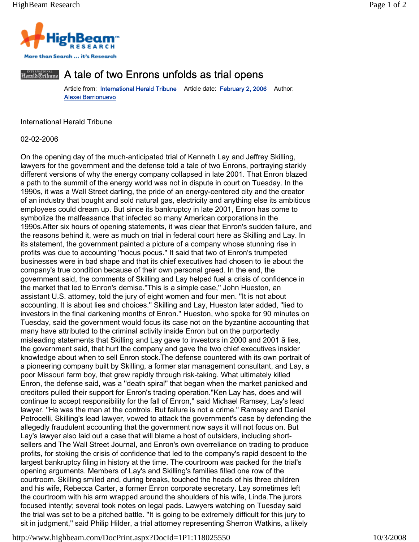

## Herald Eribane A tale of two Enrons unfolds as trial opens

Article from: **International Herald Tribune** Article date: February 2, 2006 Author: Alexei Barrionuevo

International Herald Tribune

02-02-2006

On the opening day of the much-anticipated trial of Kenneth Lay and Jeffrey Skilling, lawyers for the government and the defense told a tale of two Enrons, portraying starkly different versions of why the energy company collapsed in late 2001. That Enron blazed a path to the summit of the energy world was not in dispute in court on Tuesday. In the 1990s, it was a Wall Street darling, the pride of an energy-centered city and the creator of an industry that bought and sold natural gas, electricity and anything else its ambitious employees could dream up. But since its bankruptcy in late 2001, Enron has come to symbolize the malfeasance that infected so many American corporations in the 1990s.After six hours of opening statements, it was clear that Enron's sudden failure, and the reasons behind it, were as much on trial in federal court here as Skilling and Lay. In its statement, the government painted a picture of a company whose stunning rise in profits was due to accounting ''hocus pocus.'' It said that two of Enron's trumpeted businesses were in bad shape and that its chief executives had chosen to lie about the company's true condition because of their own personal greed. In the end, the government said, the comments of Skilling and Lay helped fuel a crisis of confidence in the market that led to Enron's demise.''This is a simple case,'' John Hueston, an assistant U.S. attorney, told the jury of eight women and four men. ''It is not about accounting. It is about lies and choices.'' Skilling and Lay, Hueston later added, ''lied to investors in the final darkening months of Enron.'' Hueston, who spoke for 90 minutes on Tuesday, said the government would focus its case not on the byzantine accounting that many have attributed to the criminal activity inside Enron but on the purportedly misleading statements that Skilling and Lay gave to investors in 2000 and 2001 ã lies, the government said, that hurt the company and gave the two chief executives insider knowledge about when to sell Enron stock.The defense countered with its own portrait of a pioneering company built by Skilling, a former star management consultant, and Lay, a poor Missouri farm boy, that grew rapidly through risk-taking. What ultimately killed Enron, the defense said, was a ''death spiral'' that began when the market panicked and creditors pulled their support for Enron's trading operation.''Ken Lay has, does and will continue to accept responsibility for the fall of Enron,'' said Michael Ramsey, Lay's lead lawyer. ''He was the man at the controls. But failure is not a crime.'' Ramsey and Daniel Petrocelli, Skilling's lead lawyer, vowed to attack the government's case by defending the allegedly fraudulent accounting that the government now says it will not focus on. But Lay's lawyer also laid out a case that will blame a host of outsiders, including shortsellers and The Wall Street Journal, and Enron's own overreliance on trading to produce profits, for stoking the crisis of confidence that led to the company's rapid descent to the largest bankruptcy filing in history at the time. The courtroom was packed for the trial's opening arguments. Members of Lay's and Skilling's families filled one row of the courtroom. Skilling smiled and, during breaks, touched the heads of his three children and his wife, Rebecca Carter, a former Enron corporate secretary. Lay sometimes left the courtroom with his arm wrapped around the shoulders of his wife, Linda.The jurors focused intently; several took notes on legal pads. Lawyers watching on Tuesday said the trial was set to be a pitched battle. ''It is going to be extremely difficult for this jury to sit in judgment," said Philip Hilder, a trial attorney representing Sherron Watkins, a likely